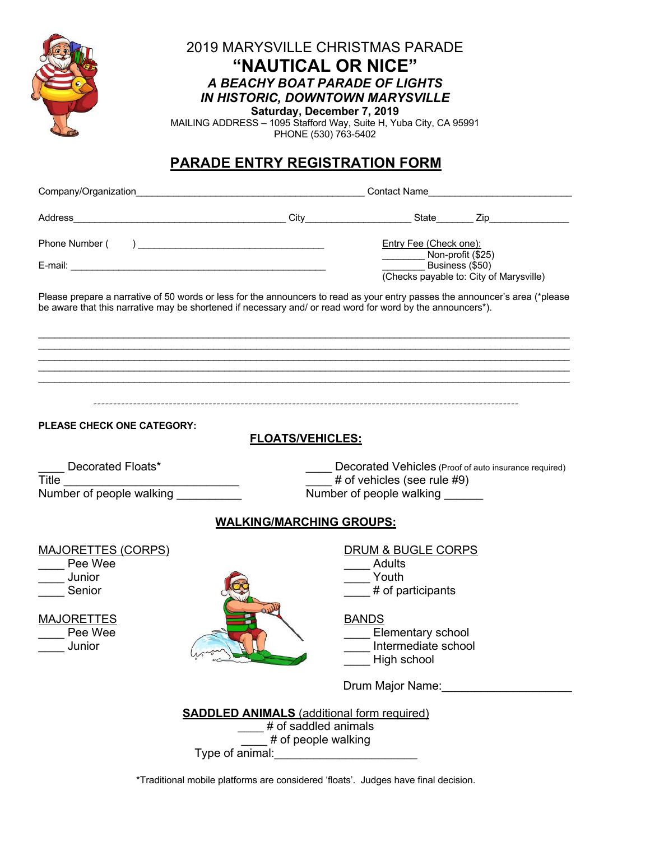

### 2019 MARYSVILLE CHRISTMAS PARADE **"NAUTICAL OR NICE"** *A BEACHY BOAT PARADE OF LIGHTS IN HISTORIC, DOWNTOWN MARYSVILLE*

**Saturday, December 7, 2019** MAILING ADDRESS – 1095 Stafford Way, Suite H, Yuba City, CA 95991 PHONE (530) 763-5402

# **PARADE ENTRY REGISTRATION FORM**

|                                                                                                                                                                                                                                            | Contact Name                                                                                                                                                         |                                                                         |                                                            |  |
|--------------------------------------------------------------------------------------------------------------------------------------------------------------------------------------------------------------------------------------------|----------------------------------------------------------------------------------------------------------------------------------------------------------------------|-------------------------------------------------------------------------|------------------------------------------------------------|--|
|                                                                                                                                                                                                                                            |                                                                                                                                                                      |                                                                         |                                                            |  |
|                                                                                                                                                                                                                                            |                                                                                                                                                                      | Entry Fee (Check one):                                                  |                                                            |  |
|                                                                                                                                                                                                                                            |                                                                                                                                                                      | Non-profit (\$25)                                                       | Business (\$50)<br>(Checks payable to: City of Marysville) |  |
| Please prepare a narrative of 50 words or less for the announcers to read as your entry passes the announcer's area (*please<br>be aware that this narrative may be shortened if necessary and/ or read word for word by the announcers*). |                                                                                                                                                                      |                                                                         |                                                            |  |
|                                                                                                                                                                                                                                            |                                                                                                                                                                      |                                                                         |                                                            |  |
|                                                                                                                                                                                                                                            |                                                                                                                                                                      |                                                                         |                                                            |  |
| <b>PLEASE CHECK ONE CATEGORY:</b>                                                                                                                                                                                                          | <b>FLOATS/VEHICLES:</b>                                                                                                                                              |                                                                         |                                                            |  |
| Decorated Floats*<br>Title<br>Number of people walking                                                                                                                                                                                     | Decorated Vehicles (Proof of auto insurance required)<br># of vehicles (see rule #9)<br><u> 1980 - Jan Barbara Barbara, prima popula</u><br>Number of people walking |                                                                         |                                                            |  |
|                                                                                                                                                                                                                                            | <b>WALKING/MARCHING GROUPS:</b>                                                                                                                                      |                                                                         |                                                            |  |
| <b>MAJORETTES (CORPS)</b><br>Pee Wee<br>Junior<br>Senior                                                                                                                                                                                   |                                                                                                                                                                      | DRUM & BUGLE CORPS<br>Adults<br>Youth<br># of participants              |                                                            |  |
| <b>MAJORETTES</b><br>Pee Wee<br>Junior                                                                                                                                                                                                     |                                                                                                                                                                      | <b>BANDS</b><br>Elementary school<br>Intermediate school<br>High school |                                                            |  |
|                                                                                                                                                                                                                                            |                                                                                                                                                                      | Drum Major Name:                                                        |                                                            |  |
| Type of animal:                                                                                                                                                                                                                            | <b>SADDLED ANIMALS</b> (additional form required)<br># of saddled animals<br># of people walking                                                                     |                                                                         |                                                            |  |

\*Traditional mobile platforms are considered 'floats'. Judges have final decision.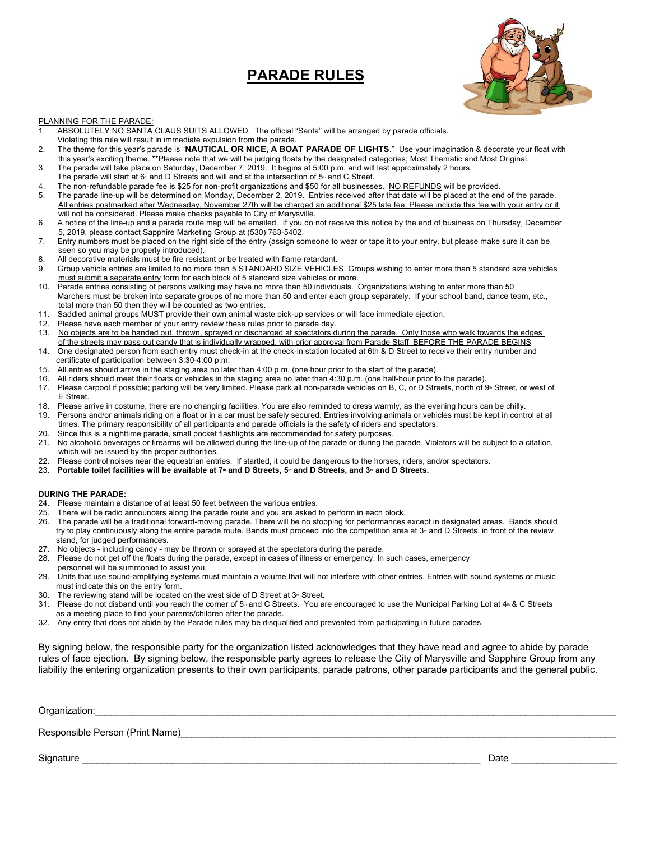## **PARADE RULES**



#### PLANNING FOR THE PARADE:

- 1. ABSOLUTELY NO SANTA CLAUS SUITS ALLOWED. The official "Santa" will be arranged by parade officials.
- Violating this rule will result in immediate expulsion from the parade.
- 2. The theme for this year's parade is "**NAUTICAL OR NICE, A BOAT PARADE OF LIGHTS**." Use your imagination & decorate your float with this year's exciting theme. \*\*Please note that we will be judging floats by the designated categories; Most Thematic and Most Original.
- 3. The parade will take place on Saturday, December 7, 2019. It begins at 5:00 p.m. and will last approximately 2 hours.
- The parade will start at  $6*$  and D Streets and will end at the intersection of  $5*$  and C Street.
- 4. The non-refundable parade fee is \$25 for non-profit organizations and \$50 for all businesses. NO REFUNDS will be provided.
- 5. The parade line-up will be determined on Monday, December 2, 2019. Entries received after that date will be placed at the end of the parade. All entries postmarked after Wednesday, November 27th will be charged an additional \$25 late fee. Please include this fee with your entry or it will not be considered. Please make checks payable to City of Marysville.
- 6. A notice of the line-up and a parade route map will be emailed. If you do not receive this notice by the end of business on Thursday, December 5, 2019, please contact Sapphire Marketing Group at (530) 763-5402.
- 7. Entry numbers must be placed on the right side of the entry (assign someone to wear or tape it to your entry, but please make sure it can be seen so you may be properly introduced).
- 8. All decorative materials must be fire resistant or be treated with flame retardant.
- 9. Group vehicle entries are limited to no more than 5 STANDARD SIZE VEHICLES. Groups wishing to enter more than 5 standard size vehicles must submit a separate entry form for each block of 5 standard size vehicles or more.
- 10. Parade entries consisting of persons walking may have no more than 50 individuals. Organizations wishing to enter more than 50 Marchers must be broken into separate groups of no more than 50 and enter each group separately. If your school band, dance team, etc., total more than 50 then they will be counted as two entries.
- 11. Saddled animal groups MUST provide their own animal waste pick-up services or will face immediate ejection.
- 12. Please have each member of your entry review these rules prior to parade day.
- 13. No objects are to be handed out, thrown, sprayed or discharged at spectators during the parade. Only those who walk towards the edges of the streets may pass out candy that is individually wrapped, with prior approval from Parade Staff BEFORE THE PARADE BEGINS 14. One designated person from each entry must check-in at the check-in station located at 6th & D Street to receive their entry number and
- certificate of participation between 3:30-4:00 p.m.
- 15. All entries should arrive in the staging area no later than 4:00 p.m. (one hour prior to the start of the parade).
- 16. All riders should meet their floats or vehicles in the staging area no later than 4:30 p.m. (one half-hour prior to the parade).
- 17. Please carpool if possible; parking will be very limited. Please park all non-parade vehicles on B, C, or D Streets, north of 9<sup>th</sup> Street, or west of E Street.
- 18. Please arrive in costume, there are no changing facilities. You are also reminded to dress warmly, as the evening hours can be chilly.
- 19. Persons and/or animals riding on a float or in a car must be safely secured. Entries involving animals or vehicles must be kept in control at all times. The primary responsibility of all participants and parade officials is the safety of riders and spectators.
- 20. Since this is a nighttime parade, small pocket flashlights are recommended for safety purposes.
- 21. No alcoholic beverages or firearms will be allowed during the line-up of the parade or during the parade. Violators will be subject to a citation, which will be issued by the proper authorities.
- 22. Please control noises near the equestrian entries. If startled, it could be dangerous to the horses, riders, and/or spectators.
- 23. Portable toilet facilities will be available at 7<sup>th</sup> and D Streets, 5<sup>th</sup> and D Streets, and 3<sup>rd</sup> and D Streets.

#### **DURING THE PARADE:**

- 24. Please maintain a distance of at least 50 feet between the various entries.
- 25. There will be radio announcers along the parade route and you are asked to perform in each block.
- 26. The parade will be a traditional forward-moving parade. There will be no stopping for performances except in designated areas. Bands should try to play continuously along the entire parade route. Bands must proceed into the competition area at 3<sup> $\alpha$ </sup> and D Streets, in front of the review stand, for judged performances.
- 27. No objects including candy may be thrown or sprayed at the spectators during the parade.
- 28. Please do not get off the floats during the parade, except in cases of illness or emergency. In such cases, emergency personnel will be summoned to assist you.
- 29. Units that use sound-amplifying systems must maintain a volume that will not interfere with other entries. Entries with sound systems or music must indicate this on the entry form.
- 30. The reviewing stand will be located on the west side of D Street at  $3<sup>d</sup>$  Street.
- 31. Please do not disband until you reach the corner of 5<sup>®</sup> and C Streets. You are encouraged to use the Municipal Parking Lot at 4<sup>®</sup> & C Streets
- as a meeting place to find your parents/children after the parade.
- 32. Any entry that does not abide by the Parade rules may be disqualified and prevented from participating in future parades.

By signing below, the responsible party for the organization listed acknowledges that they have read and agree to abide by parade rules of face ejection. By signing below, the responsible party agrees to release the City of Marysville and Sapphire Group from any liability the entering organization presents to their own participants, parade patrons, other parade participants and the general public.

| Organization:                   |      |
|---------------------------------|------|
| Responsible Person (Print Name) |      |
| Signature                       | Date |